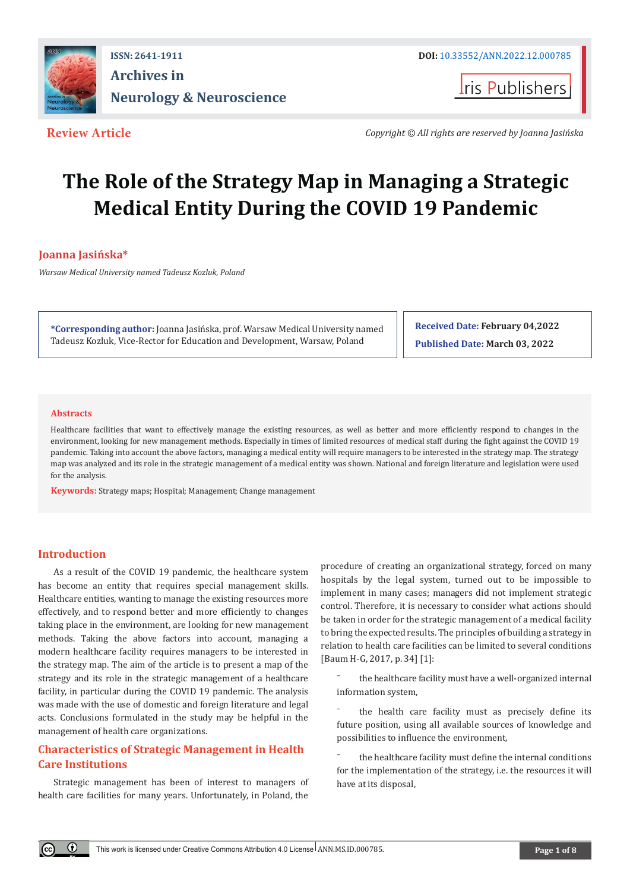

# **ISSN: 2641-1911 DOI:** [10.33552/ANN.2022.12.000785](http://dx.doi.org/10.33552/ANN.2022.12.000785) **Archives in Neurology & Neuroscience**

**I**ris Publishers

**Review Article** *Copyright © All rights are reserved by Joanna Jasińska*

# **The Role of the Strategy Map in Managing a Strategic Medical Entity During the COVID 19 Pandemic**

# **Joanna Jasińska\***

*Warsaw Medical University named Tadeusz Kozluk, Poland*

**\*Corresponding author:** Joanna Jasińska, prof. Warsaw Medical University named Tadeusz Kozluk, Vice-Rector for Education and Development, Warsaw, Poland

**Received Date: February 04,2022 Published Date: March 03, 2022**

### **Abstracts**

Healthcare facilities that want to effectively manage the existing resources, as well as better and more efficiently respond to changes in the environment, looking for new management methods. Especially in times of limited resources of medical staff during the fight against the COVID 19 pandemic. Taking into account the above factors, managing a medical entity will require managers to be interested in the strategy map. The strategy map was analyzed and its role in the strategic management of a medical entity was shown. National and foreign literature and legislation were used for the analysis.

**Keywords:** Strategy maps; Hospital; Management; Change management

## **Introduction**

 $\odot$ 

As a result of the COVID 19 pandemic, the healthcare system has become an entity that requires special management skills. Healthcare entities, wanting to manage the existing resources more effectively, and to respond better and more efficiently to changes taking place in the environment, are looking for new management methods. Taking the above factors into account, managing a modern healthcare facility requires managers to be interested in the strategy map. The aim of the article is to present a map of the strategy and its role in the strategic management of a healthcare facility, in particular during the COVID 19 pandemic. The analysis was made with the use of domestic and foreign literature and legal acts. Conclusions formulated in the study may be helpful in the management of health care organizations.

# **Characteristics of Strategic Management in Health Care Institutions**

Strategic management has been of interest to managers of health care facilities for many years. Unfortunately, in Poland, the

procedure of creating an organizational strategy, forced on many hospitals by the legal system, turned out to be impossible to implement in many cases; managers did not implement strategic control. Therefore, it is necessary to consider what actions should be taken in order for the strategic management of a medical facility to bring the expected results. The principles of building a strategy in relation to health care facilities can be limited to several conditions [Baum H-G, 2017, p. 34] [1]:

the healthcare facility must have a well-organized internal information system,

the health care facility must as precisely define its future position, using all available sources of knowledge and possibilities to influence the environment,

the healthcare facility must define the internal conditions for the implementation of the strategy, i.e. the resources it will have at its disposal,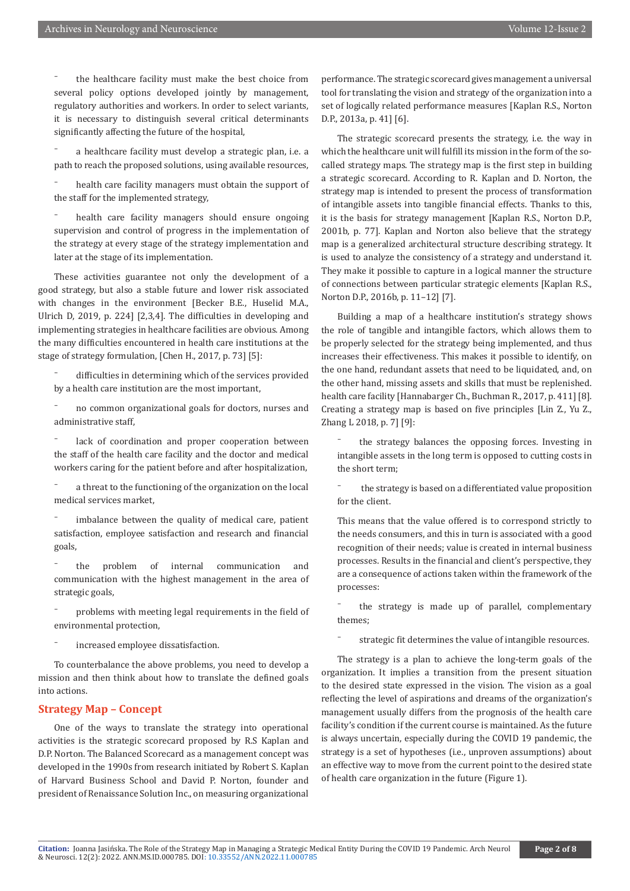⁻ the healthcare facility must make the best choice from several policy options developed jointly by management, regulatory authorities and workers. In order to select variants, it is necessary to distinguish several critical determinants significantly affecting the future of the hospital,

⁻ a healthcare facility must develop a strategic plan, i.e. a path to reach the proposed solutions, using available resources,

health care facility managers must obtain the support of the staff for the implemented strategy,

health care facility managers should ensure ongoing supervision and control of progress in the implementation of the strategy at every stage of the strategy implementation and later at the stage of its implementation.

These activities guarantee not only the development of a good strategy, but also a stable future and lower risk associated with changes in the environment [Becker B.E., Huselid M.A., Ulrich D, 2019, p. 224] [2,3,4]. The difficulties in developing and implementing strategies in healthcare facilities are obvious. Among the many difficulties encountered in health care institutions at the stage of strategy formulation, [Chen H., 2017, p. 73] [5]:

difficulties in determining which of the services provided by a health care institution are the most important,

⁻ no common organizational goals for doctors, nurses and administrative staff,

lack of coordination and proper cooperation between the staff of the health care facility and the doctor and medical workers caring for the patient before and after hospitalization,

⁻ a threat to the functioning of the organization on the local medical services market,

imbalance between the quality of medical care, patient satisfaction, employee satisfaction and research and financial goals,

⁻ the problem of internal communication and communication with the highest management in the area of strategic goals,

⁻ problems with meeting legal requirements in the field of environmental protection,

⁻ increased employee dissatisfaction.

To counterbalance the above problems, you need to develop a mission and then think about how to translate the defined goals into actions.

#### **Strategy Map – Concept**

One of the ways to translate the strategy into operational activities is the strategic scorecard proposed by R.S Kaplan and D.P. Norton. The Balanced Scorecard as a management concept was developed in the 1990s from research initiated by Robert S. Kaplan of Harvard Business School and David P. Norton, founder and president of Renaissance Solution Inc., on measuring organizational performance. The strategic scorecard gives management a universal tool for translating the vision and strategy of the organization into a set of logically related performance measures [Kaplan R.S., Norton D.P., 2013a, p. 41] [6].

The strategic scorecard presents the strategy, i.e. the way in which the healthcare unit will fulfill its mission in the form of the socalled strategy maps. The strategy map is the first step in building a strategic scorecard. According to R. Kaplan and D. Norton, the strategy map is intended to present the process of transformation of intangible assets into tangible financial effects. Thanks to this, it is the basis for strategy management [Kaplan R.S., Norton D.P., 2001b, p. 77]. Kaplan and Norton also believe that the strategy map is a generalized architectural structure describing strategy. It is used to analyze the consistency of a strategy and understand it. They make it possible to capture in a logical manner the structure of connections between particular strategic elements [Kaplan R.S., Norton D.P., 2016b, p. 11–12] [7].

Building a map of a healthcare institution's strategy shows the role of tangible and intangible factors, which allows them to be properly selected for the strategy being implemented, and thus increases their effectiveness. This makes it possible to identify, on the one hand, redundant assets that need to be liquidated, and, on the other hand, missing assets and skills that must be replenished. health care facility [Hannabarger Ch., Buchman R., 2017, p. 411] [8]. Creating a strategy map is based on five principles [Lin Z., Yu Z., Zhang L 2018, p. 7] [9]:

⁻ the strategy balances the opposing forces. Investing in intangible assets in the long term is opposed to cutting costs in the short term;

the strategy is based on a differentiated value proposition for the client.

This means that the value offered is to correspond strictly to the needs consumers, and this in turn is associated with a good recognition of their needs; value is created in internal business processes. Results in the financial and client's perspective, they are a consequence of actions taken within the framework of the processes:

the strategy is made up of parallel, complementary themes;

strategic fit determines the value of intangible resources.

The strategy is a plan to achieve the long-term goals of the organization. It implies a transition from the present situation to the desired state expressed in the vision. The vision as a goal reflecting the level of aspirations and dreams of the organization's management usually differs from the prognosis of the health care facility's condition if the current course is maintained. As the future is always uncertain, especially during the COVID 19 pandemic, the strategy is a set of hypotheses (i.e., unproven assumptions) about an effective way to move from the current point to the desired state of health care organization in the future (Figure 1).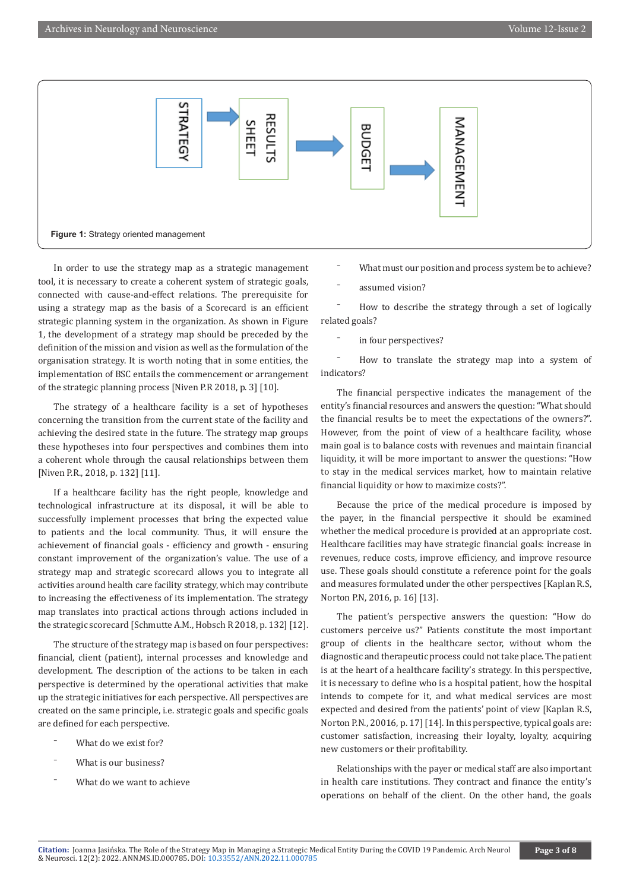

In order to use the strategy map as a strategic management tool, it is necessary to create a coherent system of strategic goals, connected with cause-and-effect relations. The prerequisite for using a strategy map as the basis of a Scorecard is an efficient strategic planning system in the organization. As shown in Figure 1, the development of a strategy map should be preceded by the definition of the mission and vision as well as the formulation of the organisation strategy. It is worth noting that in some entities, the implementation of BSC entails the commencement or arrangement of the strategic planning process [Niven P.R 2018, p. 3] [10].

The strategy of a healthcare facility is a set of hypotheses concerning the transition from the current state of the facility and achieving the desired state in the future. The strategy map groups these hypotheses into four perspectives and combines them into a coherent whole through the causal relationships between them [Niven P.R., 2018, p. 132] [11].

If a healthcare facility has the right people, knowledge and technological infrastructure at its disposal, it will be able to successfully implement processes that bring the expected value to patients and the local community. Thus, it will ensure the achievement of financial goals - efficiency and growth - ensuring constant improvement of the organization's value. The use of a strategy map and strategic scorecard allows you to integrate all activities around health care facility strategy, which may contribute to increasing the effectiveness of its implementation. The strategy map translates into practical actions through actions included in the strategic scorecard [Schmutte A.M., Hobsch R 2018, p. 132] [12].

The structure of the strategy map is based on four perspectives: financial, client (patient), internal processes and knowledge and development. The description of the actions to be taken in each perspective is determined by the operational activities that make up the strategic initiatives for each perspective. All perspectives are created on the same principle, i.e. strategic goals and specific goals are defined for each perspective.

- What do we exist for?
- What is our business?
- What do we want to achieve

What must our position and process system be to achieve?

assumed vision?

⁻ How to describe the strategy through a set of logically related goals?

in four perspectives?

⁻ How to translate the strategy map into a system of indicators?

The financial perspective indicates the management of the entity's financial resources and answers the question: "What should the financial results be to meet the expectations of the owners?". However, from the point of view of a healthcare facility, whose main goal is to balance costs with revenues and maintain financial liquidity, it will be more important to answer the questions: "How to stay in the medical services market, how to maintain relative financial liquidity or how to maximize costs?".

Because the price of the medical procedure is imposed by the payer, in the financial perspective it should be examined whether the medical procedure is provided at an appropriate cost. Healthcare facilities may have strategic financial goals: increase in revenues, reduce costs, improve efficiency, and improve resource use. These goals should constitute a reference point for the goals and measures formulated under the other perspectives [Kaplan R.S, Norton P.N, 2016, p. 16] [13].

The patient's perspective answers the question: "How do customers perceive us?" Patients constitute the most important group of clients in the healthcare sector, without whom the diagnostic and therapeutic process could not take place. The patient is at the heart of a healthcare facility's strategy. In this perspective, it is necessary to define who is a hospital patient, how the hospital intends to compete for it, and what medical services are most expected and desired from the patients' point of view [Kaplan R.S, Norton P.N., 20016, p. 17] [14]. In this perspective, typical goals are: customer satisfaction, increasing their loyalty, loyalty, acquiring new customers or their profitability.

Relationships with the payer or medical staff are also important in health care institutions. They contract and finance the entity's operations on behalf of the client. On the other hand, the goals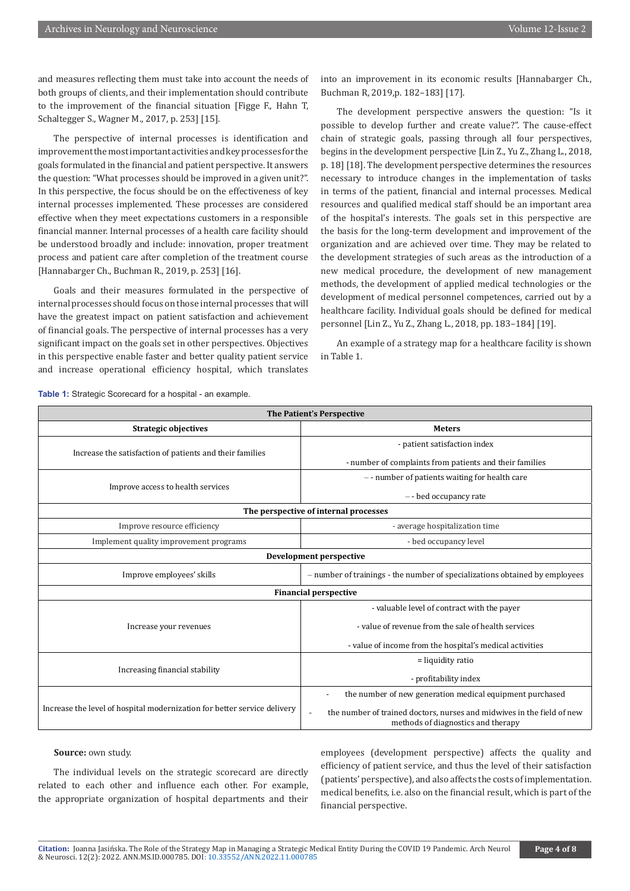and measures reflecting them must take into account the needs of both groups of clients, and their implementation should contribute to the improvement of the financial situation [Figge F., Hahn T, Schaltegger S., Wagner M., 2017, p. 253] [15].

The perspective of internal processes is identification and improvement the most important activities and key processes for the goals formulated in the financial and patient perspective. It answers the question: "What processes should be improved in a given unit?". In this perspective, the focus should be on the effectiveness of key internal processes implemented. These processes are considered effective when they meet expectations customers in a responsible financial manner. Internal processes of a health care facility should be understood broadly and include: innovation, proper treatment process and patient care after completion of the treatment course [Hannabarger Ch., Buchman R., 2019, p. 253] [16].

Goals and their measures formulated in the perspective of internal processes should focus on those internal processes that will have the greatest impact on patient satisfaction and achievement of financial goals. The perspective of internal processes has a very significant impact on the goals set in other perspectives. Objectives in this perspective enable faster and better quality patient service and increase operational efficiency hospital, which translates

into an improvement in its economic results [Hannabarger Ch., Buchman R, 2019,p. 182–183] [17].

The development perspective answers the question: "Is it possible to develop further and create value?". The cause-effect chain of strategic goals, passing through all four perspectives, begins in the development perspective [Lin Z., Yu Z., Zhang L., 2018, p. 18] [18]. The development perspective determines the resources necessary to introduce changes in the implementation of tasks in terms of the patient, financial and internal processes. Medical resources and qualified medical staff should be an important area of the hospital's interests. The goals set in this perspective are the basis for the long-term development and improvement of the organization and are achieved over time. They may be related to the development strategies of such areas as the introduction of a new medical procedure, the development of new management methods, the development of applied medical technologies or the development of medical personnel competences, carried out by a healthcare facility. Individual goals should be defined for medical personnel [Lin Z., Yu Z., Zhang L., 2018, pp. 183–184] [19].

An example of a strategy map for a healthcare facility is shown in Table 1.

| <b>Table 1:</b> Strategic Scorecard for a hospital - an example. |
|------------------------------------------------------------------|
|------------------------------------------------------------------|

| The Patient's Perspective                                                |                                                                                                              |  |
|--------------------------------------------------------------------------|--------------------------------------------------------------------------------------------------------------|--|
| <b>Strategic objectives</b>                                              | <b>Meters</b>                                                                                                |  |
| Increase the satisfaction of patients and their families                 | - patient satisfaction index                                                                                 |  |
|                                                                          | - number of complaints from patients and their families                                                      |  |
| Improve access to health services                                        | -- number of patients waiting for health care                                                                |  |
|                                                                          | -- bed occupancy rate                                                                                        |  |
| The perspective of internal processes                                    |                                                                                                              |  |
| Improve resource efficiency                                              | - average hospitalization time                                                                               |  |
| Implement quality improvement programs                                   | - bed occupancy level                                                                                        |  |
| Development perspective                                                  |                                                                                                              |  |
| Improve employees' skills                                                | - number of trainings - the number of specializations obtained by employees                                  |  |
| <b>Financial perspective</b>                                             |                                                                                                              |  |
| Increase your revenues                                                   | - valuable level of contract with the payer                                                                  |  |
|                                                                          | - value of revenue from the sale of health services                                                          |  |
|                                                                          | - value of income from the hospital's medical activities                                                     |  |
| Increasing financial stability                                           | $=$ liquidity ratio                                                                                          |  |
|                                                                          | - profitability index                                                                                        |  |
| Increase the level of hospital modernization for better service delivery | the number of new generation medical equipment purchased                                                     |  |
|                                                                          | the number of trained doctors, nurses and midwives in the field of new<br>methods of diagnostics and therapy |  |

#### Source: own study.

The individual levels on the strategic scorecard are directly related to each other and influence each other. For example, the appropriate organization of hospital departments and their

employees (development perspective) affects the quality and efficiency of patient service, and thus the level of their satisfaction (patients' perspective), and also affects the costs of implementation. medical benefits, i.e. also on the financial result, which is part of the financial perspective.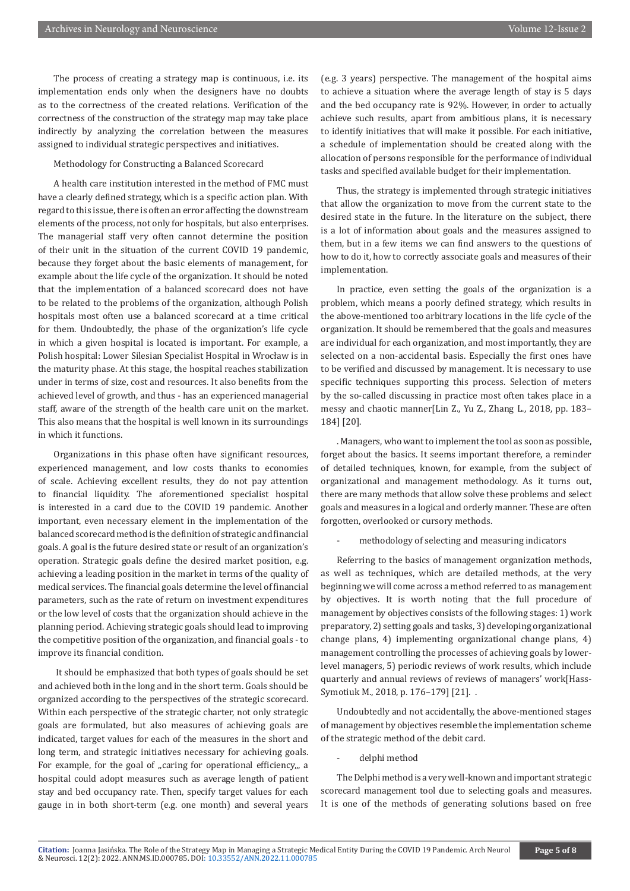The process of creating a strategy map is continuous, i.e. its implementation ends only when the designers have no doubts as to the correctness of the created relations. Verification of the correctness of the construction of the strategy map may take place indirectly by analyzing the correlation between the measures assigned to individual strategic perspectives and initiatives.

Methodology for Constructing a Balanced Scorecard

A health care institution interested in the method of FMC must have a clearly defined strategy, which is a specific action plan. With regard to this issue, there is often an error affecting the downstream elements of the process, not only for hospitals, but also enterprises. The managerial staff very often cannot determine the position of their unit in the situation of the current COVID 19 pandemic, because they forget about the basic elements of management, for example about the life cycle of the organization. It should be noted that the implementation of a balanced scorecard does not have to be related to the problems of the organization, although Polish hospitals most often use a balanced scorecard at a time critical for them. Undoubtedly, the phase of the organization's life cycle in which a given hospital is located is important. For example, a Polish hospital: Lower Silesian Specialist Hospital in Wrocław is in the maturity phase. At this stage, the hospital reaches stabilization under in terms of size, cost and resources. It also benefits from the achieved level of growth, and thus - has an experienced managerial staff, aware of the strength of the health care unit on the market. This also means that the hospital is well known in its surroundings in which it functions.

Organizations in this phase often have significant resources, experienced management, and low costs thanks to economies of scale. Achieving excellent results, they do not pay attention to financial liquidity. The aforementioned specialist hospital is interested in a card due to the COVID 19 pandemic. Another important, even necessary element in the implementation of the balanced scorecard method is the definition of strategic and financial goals. A goal is the future desired state or result of an organization's operation. Strategic goals define the desired market position, e.g. achieving a leading position in the market in terms of the quality of medical services. The financial goals determine the level of financial parameters, such as the rate of return on investment expenditures or the low level of costs that the organization should achieve in the planning period. Achieving strategic goals should lead to improving the competitive position of the organization, and financial goals - to improve its financial condition.

 It should be emphasized that both types of goals should be set and achieved both in the long and in the short term. Goals should be organized according to the perspectives of the strategic scorecard. Within each perspective of the strategic charter, not only strategic goals are formulated, but also measures of achieving goals are indicated, target values for each of the measures in the short and long term, and strategic initiatives necessary for achieving goals. For example, for the goal of "caring for operational efficiency,,, a hospital could adopt measures such as average length of patient stay and bed occupancy rate. Then, specify target values for each gauge in in both short-term (e.g. one month) and several years

(e.g. 3 years) perspective. The management of the hospital aims to achieve a situation where the average length of stay is 5 days and the bed occupancy rate is 92%. However, in order to actually achieve such results, apart from ambitious plans, it is necessary to identify initiatives that will make it possible. For each initiative, a schedule of implementation should be created along with the allocation of persons responsible for the performance of individual tasks and specified available budget for their implementation.

Thus, the strategy is implemented through strategic initiatives that allow the organization to move from the current state to the desired state in the future. In the literature on the subject, there is a lot of information about goals and the measures assigned to them, but in a few items we can find answers to the questions of how to do it, how to correctly associate goals and measures of their implementation.

In practice, even setting the goals of the organization is a problem, which means a poorly defined strategy, which results in the above-mentioned too arbitrary locations in the life cycle of the organization. It should be remembered that the goals and measures are individual for each organization, and most importantly, they are selected on a non-accidental basis. Especially the first ones have to be verified and discussed by management. It is necessary to use specific techniques supporting this process. Selection of meters by the so-called discussing in practice most often takes place in a messy and chaotic manner[Lin Z., Yu Z., Zhang L., 2018, pp. 183– 184] [20].

. Managers, who want to implement the tool as soon as possible, forget about the basics. It seems important therefore, a reminder of detailed techniques, known, for example, from the subject of organizational and management methodology. As it turns out, there are many methods that allow solve these problems and select goals and measures in a logical and orderly manner. These are often forgotten, overlooked or cursory methods.

methodology of selecting and measuring indicators

Referring to the basics of management organization methods, as well as techniques, which are detailed methods, at the very beginning we will come across a method referred to as management by objectives. It is worth noting that the full procedure of management by objectives consists of the following stages: 1) work preparatory, 2) setting goals and tasks, 3) developing organizational change plans, 4) implementing organizational change plans, 4) management controlling the processes of achieving goals by lowerlevel managers, 5) periodic reviews of work results, which include quarterly and annual reviews of reviews of managers' work[Hass-Symotiuk M., 2018, p. 176–179] [21]. .

Undoubtedly and not accidentally, the above-mentioned stages of management by objectives resemble the implementation scheme of the strategic method of the debit card.

delphi method

The Delphi method is a very well-known and important strategic scorecard management tool due to selecting goals and measures. It is one of the methods of generating solutions based on free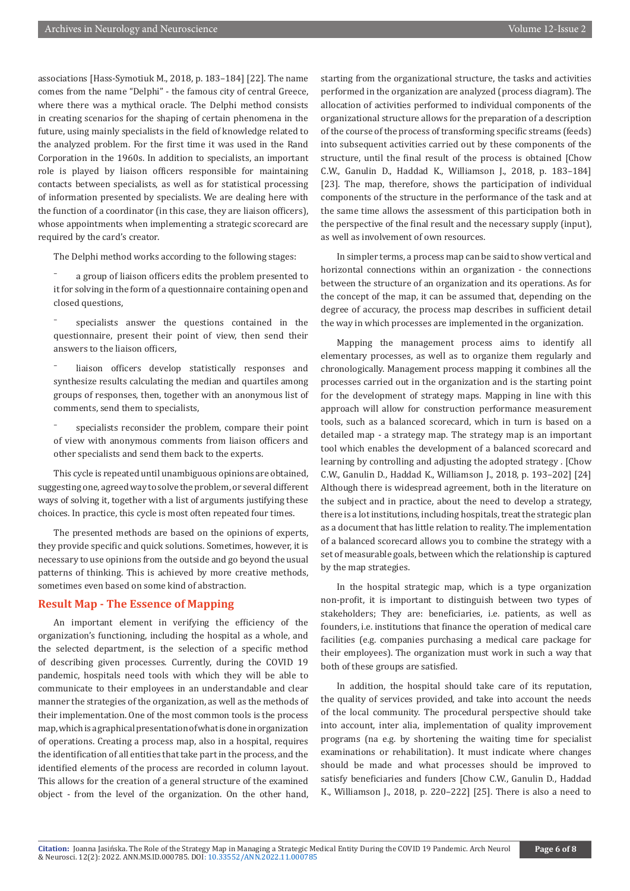associations [Hass-Symotiuk M., 2018, p. 183–184] [22]. The name comes from the name "Delphi" - the famous city of central Greece, where there was a mythical oracle. The Delphi method consists in creating scenarios for the shaping of certain phenomena in the future, using mainly specialists in the field of knowledge related to the analyzed problem. For the first time it was used in the Rand Corporation in the 1960s. In addition to specialists, an important role is played by liaison officers responsible for maintaining contacts between specialists, as well as for statistical processing of information presented by specialists. We are dealing here with the function of a coordinator (in this case, they are liaison officers), whose appointments when implementing a strategic scorecard are required by the card's creator.

The Delphi method works according to the following stages:

⁻ a group of liaison officers edits the problem presented to it for solving in the form of a questionnaire containing open and closed questions,

specialists answer the questions contained in the questionnaire, present their point of view, then send their answers to the liaison officers,

liaison officers develop statistically responses and synthesize results calculating the median and quartiles among groups of responses, then, together with an anonymous list of comments, send them to specialists,

specialists reconsider the problem, compare their point of view with anonymous comments from liaison officers and other specialists and send them back to the experts.

This cycle is repeated until unambiguous opinions are obtained, suggesting one, agreed way to solve the problem, or several different ways of solving it, together with a list of arguments justifying these choices. In practice, this cycle is most often repeated four times.

The presented methods are based on the opinions of experts, they provide specific and quick solutions. Sometimes, however, it is necessary to use opinions from the outside and go beyond the usual patterns of thinking. This is achieved by more creative methods, sometimes even based on some kind of abstraction.

#### **Result Map - The Essence of Mapping**

An important element in verifying the efficiency of the organization's functioning, including the hospital as a whole, and the selected department, is the selection of a specific method of describing given processes. Currently, during the COVID 19 pandemic, hospitals need tools with which they will be able to communicate to their employees in an understandable and clear manner the strategies of the organization, as well as the methods of their implementation. One of the most common tools is the process map, which is a graphical presentation of what is done in organization of operations. Creating a process map, also in a hospital, requires the identification of all entities that take part in the process, and the identified elements of the process are recorded in column layout. This allows for the creation of a general structure of the examined object - from the level of the organization. On the other hand,

starting from the organizational structure, the tasks and activities performed in the organization are analyzed (process diagram). The allocation of activities performed to individual components of the organizational structure allows for the preparation of a description of the course of the process of transforming specific streams (feeds) into subsequent activities carried out by these components of the structure, until the final result of the process is obtained [Chow C.W., Ganulin D., Haddad K., Williamson J., 2018, p. 183–184] [23]. The map, therefore, shows the participation of individual components of the structure in the performance of the task and at the same time allows the assessment of this participation both in the perspective of the final result and the necessary supply (input), as well as involvement of own resources.

In simpler terms, a process map can be said to show vertical and horizontal connections within an organization - the connections between the structure of an organization and its operations. As for the concept of the map, it can be assumed that, depending on the degree of accuracy, the process map describes in sufficient detail the way in which processes are implemented in the organization.

Mapping the management process aims to identify all elementary processes, as well as to organize them regularly and chronologically. Management process mapping it combines all the processes carried out in the organization and is the starting point for the development of strategy maps. Mapping in line with this approach will allow for construction performance measurement tools, such as a balanced scorecard, which in turn is based on a detailed map - a strategy map. The strategy map is an important tool which enables the development of a balanced scorecard and learning by controlling and adjusting the adopted strategy . [Chow C.W., Ganulin D., Haddad K., Williamson J., 2018, p. 193–202] [24] Although there is widespread agreement, both in the literature on the subject and in practice, about the need to develop a strategy, there is a lot institutions, including hospitals, treat the strategic plan as a document that has little relation to reality. The implementation of a balanced scorecard allows you to combine the strategy with a set of measurable goals, between which the relationship is captured by the map strategies.

In the hospital strategic map, which is a type organization non-profit, it is important to distinguish between two types of stakeholders; They are: beneficiaries, i.e. patients, as well as founders, i.e. institutions that finance the operation of medical care facilities (e.g. companies purchasing a medical care package for their employees). The organization must work in such a way that both of these groups are satisfied.

In addition, the hospital should take care of its reputation, the quality of services provided, and take into account the needs of the local community. The procedural perspective should take into account, inter alia, implementation of quality improvement programs (na e.g. by shortening the waiting time for specialist examinations or rehabilitation). It must indicate where changes should be made and what processes should be improved to satisfy beneficiaries and funders [Chow C.W., Ganulin D., Haddad K., Williamson J., 2018, p. 220–222] [25]. There is also a need to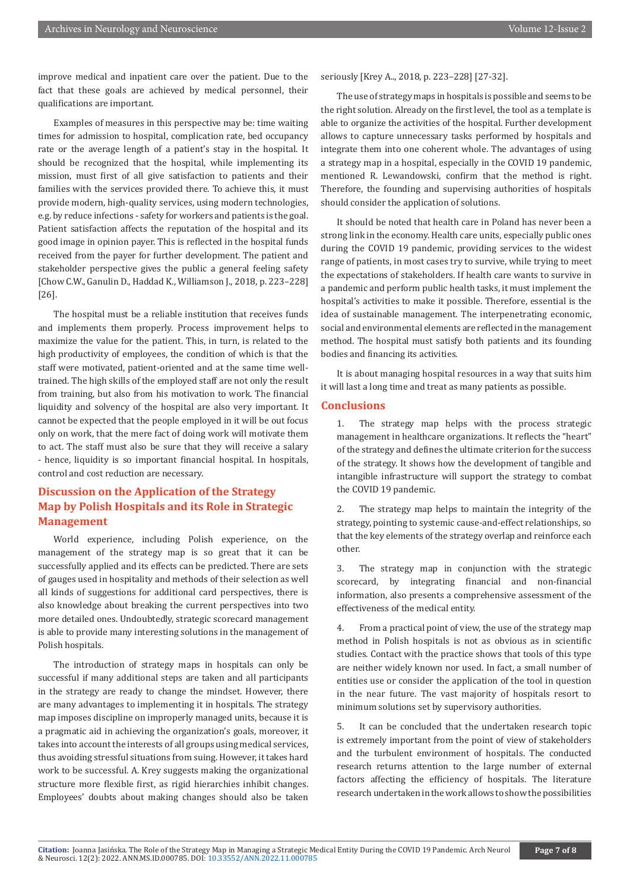improve medical and inpatient care over the patient. Due to the fact that these goals are achieved by medical personnel, their qualifications are important.

Examples of measures in this perspective may be: time waiting times for admission to hospital, complication rate, bed occupancy rate or the average length of a patient's stay in the hospital. It should be recognized that the hospital, while implementing its mission, must first of all give satisfaction to patients and their families with the services provided there. To achieve this, it must provide modern, high-quality services, using modern technologies, e.g. by reduce infections - safety for workers and patients is the goal. Patient satisfaction affects the reputation of the hospital and its good image in opinion payer. This is reflected in the hospital funds received from the payer for further development. The patient and stakeholder perspective gives the public a general feeling safety [Chow C.W., Ganulin D., Haddad K., Williamson J., 2018, p. 223–228] [26].

The hospital must be a reliable institution that receives funds and implements them properly. Process improvement helps to maximize the value for the patient. This, in turn, is related to the high productivity of employees, the condition of which is that the staff were motivated, patient-oriented and at the same time welltrained. The high skills of the employed staff are not only the result from training, but also from his motivation to work. The financial liquidity and solvency of the hospital are also very important. It cannot be expected that the people employed in it will be out focus only on work, that the mere fact of doing work will motivate them to act. The staff must also be sure that they will receive a salary - hence, liquidity is so important financial hospital. In hospitals, control and cost reduction are necessary.

# **Discussion on the Application of the Strategy Map by Polish Hospitals and its Role in Strategic Management**

World experience, including Polish experience, on the management of the strategy map is so great that it can be successfully applied and its effects can be predicted. There are sets of gauges used in hospitality and methods of their selection as well all kinds of suggestions for additional card perspectives, there is also knowledge about breaking the current perspectives into two more detailed ones. Undoubtedly, strategic scorecard management is able to provide many interesting solutions in the management of Polish hospitals.

The introduction of strategy maps in hospitals can only be successful if many additional steps are taken and all participants in the strategy are ready to change the mindset. However, there are many advantages to implementing it in hospitals. The strategy map imposes discipline on improperly managed units, because it is a pragmatic aid in achieving the organization's goals, moreover, it takes into account the interests of all groups using medical services, thus avoiding stressful situations from suing. However, it takes hard work to be successful. A. Krey suggests making the organizational structure more flexible first, as rigid hierarchies inhibit changes. Employees' doubts about making changes should also be taken

seriously [Krey A.., 2018, p. 223–228] [27-32].

The use of strategy maps in hospitals is possible and seems to be the right solution. Already on the first level, the tool as a template is able to organize the activities of the hospital. Further development allows to capture unnecessary tasks performed by hospitals and integrate them into one coherent whole. The advantages of using a strategy map in a hospital, especially in the COVID 19 pandemic, mentioned R. Lewandowski, confirm that the method is right. Therefore, the founding and supervising authorities of hospitals should consider the application of solutions.

It should be noted that health care in Poland has never been a strong link in the economy. Health care units, especially public ones during the COVID 19 pandemic, providing services to the widest range of patients, in most cases try to survive, while trying to meet the expectations of stakeholders. If health care wants to survive in a pandemic and perform public health tasks, it must implement the hospital's activities to make it possible. Therefore, essential is the idea of sustainable management. The interpenetrating economic, social and environmental elements are reflected in the management method. The hospital must satisfy both patients and its founding bodies and financing its activities.

It is about managing hospital resources in a way that suits him it will last a long time and treat as many patients as possible.

#### **Conclusions**

1. The strategy map helps with the process strategic management in healthcare organizations. It reflects the "heart" of the strategy and defines the ultimate criterion for the success of the strategy. It shows how the development of tangible and intangible infrastructure will support the strategy to combat the COVID 19 pandemic.

2. The strategy map helps to maintain the integrity of the strategy, pointing to systemic cause-and-effect relationships, so that the key elements of the strategy overlap and reinforce each other.

3. The strategy map in conjunction with the strategic scorecard, by integrating financial and non-financial information, also presents a comprehensive assessment of the effectiveness of the medical entity.

4. From a practical point of view, the use of the strategy map method in Polish hospitals is not as obvious as in scientific studies. Contact with the practice shows that tools of this type are neither widely known nor used. In fact, a small number of entities use or consider the application of the tool in question in the near future. The vast majority of hospitals resort to minimum solutions set by supervisory authorities.

5. It can be concluded that the undertaken research topic is extremely important from the point of view of stakeholders and the turbulent environment of hospitals. The conducted research returns attention to the large number of external factors affecting the efficiency of hospitals. The literature research undertaken in the work allows to show the possibilities